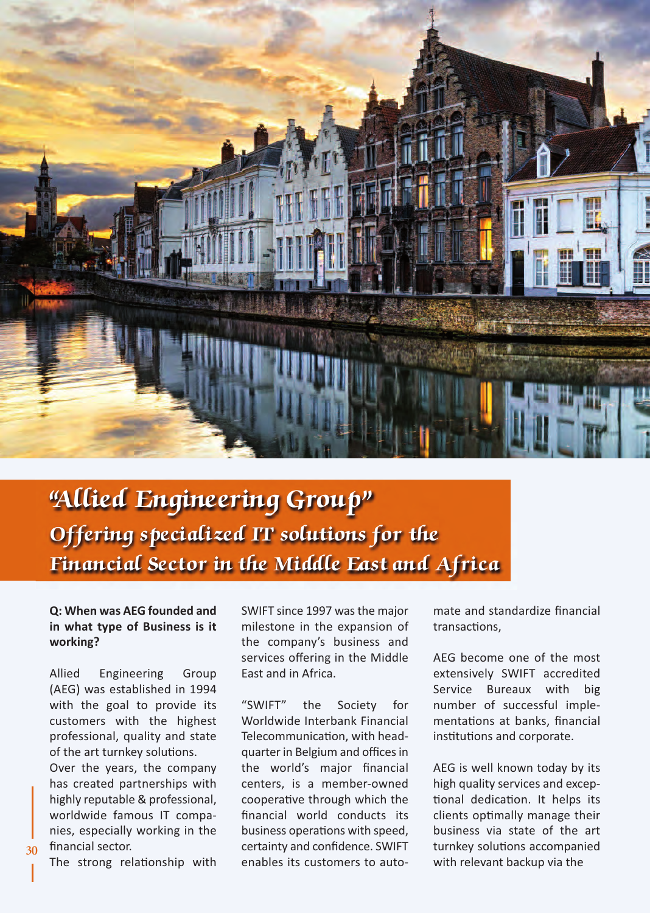

# "Allied Engineering Group" Offering specialized IT solutions for the Financial Sector in the Middle East and Africa

# **Q: When was AEG founded and in what type of Business is it working?**

Allied Engineering Group (AEG) was established in 1994 with the goal to provide its customers with the highest professional, quality and state of the art turnkey solutions.

Over the years, the company has created partnerships with highly reputable & professional, worldwide famous IT companies, especially working in the financial sector.

The strong relationship with

SWIFT since 1997 was the major milestone in the expansion of the company's business and services offering in the Middle East and in Africa.

"SWIFT" the Society for Worldwide Interbank Financial Telecommunication, with headquarter in Belgium and offices in the world's major financial centers, is a member-owned cooperative through which the financial world conducts its business operations with speed, certainty and confidence. SWIFT enables its customers to automate and standardize financial transactions,

AEG become one of the most extensively SWIFT accredited Service Bureaux with big number of successful implementations at banks, financial institutions and corporate.

AEG is well known today by its high quality services and exceptional dedication. It helps its clients optimally manage their business via state of the art turnkey solutions accompanied with relevant backup via the

**30**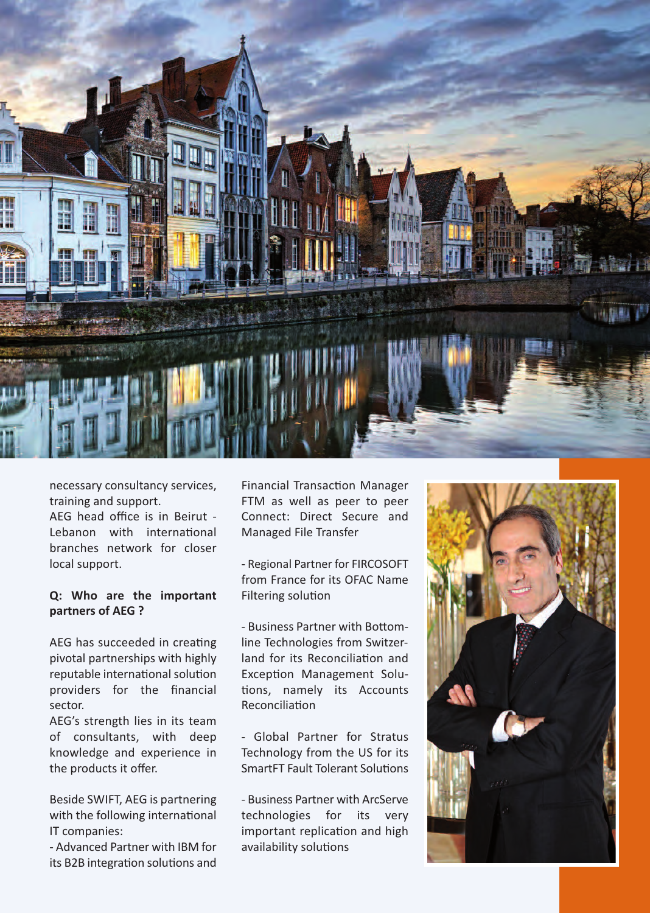

necessary consultancy services, training and support.

AEG head office is in Beirut - Lebanon with international branches network for closer local support.

#### **Q: Who are the important partners of AEG ?**

AEG has succeeded in creating pivotal partnerships with highly reputable international solution providers for the financial sector.

AEG's strength lies in its team of consultants, with deep knowledge and experience in the products it offer.

Beside SWIFT, AEG is partnering with the following international IT companies:

- Advanced Partner with IBM for its B2B integration solutions and Financial Transaction Manager FTM as well as peer to peer Connect: Direct Secure and Managed File Transfer

- Regional Partner for FIRCOSOFT from France for its OFAC Name Filtering solution

- Business Partner with Bottomline Technologies from Switzerland for its Reconciliation and Exception Management Solutions, namely its Accounts Reconciliation

- Global Partner for Stratus Technology from the US for its SmartFT Fault Tolerant Solutions

- Business Partner with ArcServe technologies for its very important replication and high availability solutions